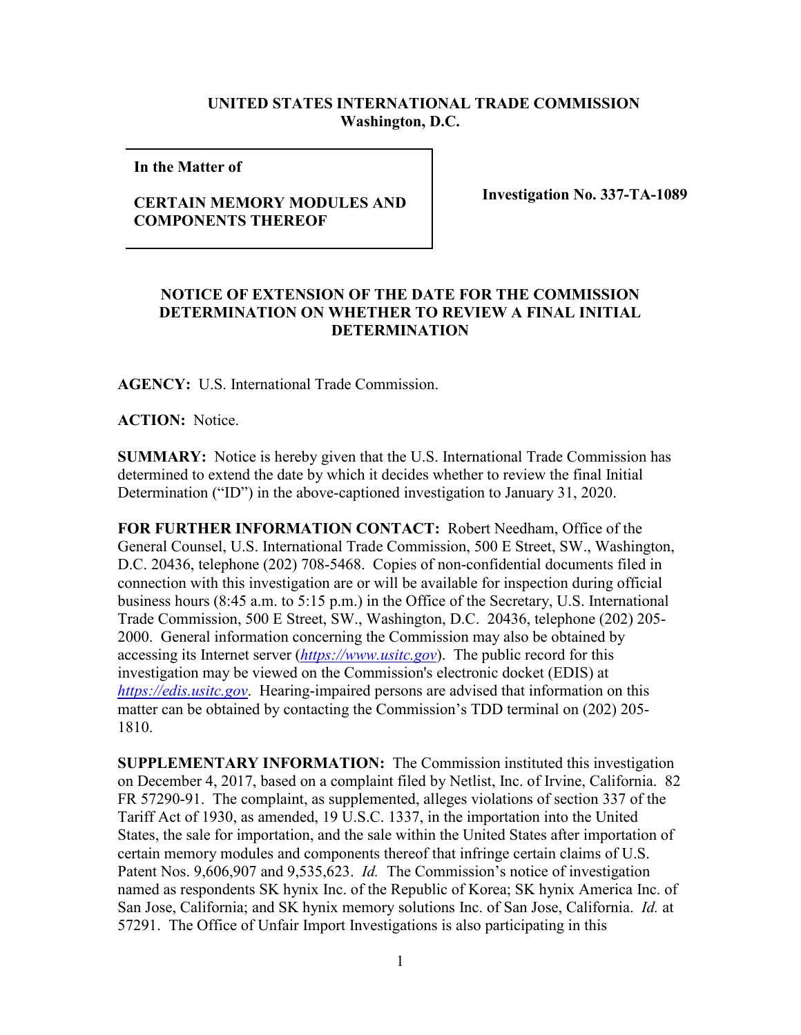## **UNITED STATES INTERNATIONAL TRADE COMMISSION Washington, D.C.**

**In the Matter of** 

## **CERTAIN MEMORY MODULES AND COMPONENTS THEREOF**

**Investigation No. 337-TA-1089**

## **NOTICE OF EXTENSION OF THE DATE FOR THE COMMISSION DETERMINATION ON WHETHER TO REVIEW A FINAL INITIAL DETERMINATION**

**AGENCY:** U.S. International Trade Commission.

**ACTION:** Notice.

**SUMMARY:** Notice is hereby given that the U.S. International Trade Commission has determined to extend the date by which it decides whether to review the final Initial Determination ("ID") in the above-captioned investigation to January 31, 2020.

**FOR FURTHER INFORMATION CONTACT:** Robert Needham, Office of the General Counsel, U.S. International Trade Commission, 500 E Street, SW., Washington, D.C. 20436, telephone (202) 708-5468. Copies of non-confidential documents filed in connection with this investigation are or will be available for inspection during official business hours (8:45 a.m. to 5:15 p.m.) in the Office of the Secretary, U.S. International Trade Commission, 500 E Street, SW., Washington, D.C. 20436, telephone (202) 205- 2000. General information concerning the Commission may also be obtained by accessing its Internet server (*[https://www.usitc.gov](https://www.usitc.gov/)*). The public record for this investigation may be viewed on the Commission's electronic docket (EDIS) at *[https://edis.usitc.gov](https://edis.usitc.gov/)*. Hearing-impaired persons are advised that information on this matter can be obtained by contacting the Commission's TDD terminal on (202) 205- 1810.

**SUPPLEMENTARY INFORMATION:** The Commission instituted this investigation on December 4, 2017, based on a complaint filed by Netlist, Inc. of Irvine, California. 82 FR 57290-91. The complaint, as supplemented, alleges violations of section 337 of the Tariff Act of 1930, as amended, 19 U.S.C. 1337, in the importation into the United States, the sale for importation, and the sale within the United States after importation of certain memory modules and components thereof that infringe certain claims of U.S. Patent Nos. 9,606,907 and 9,535,623. *Id.* The Commission's notice of investigation named as respondents SK hynix Inc. of the Republic of Korea; SK hynix America Inc. of San Jose, California; and SK hynix memory solutions Inc. of San Jose, California. *Id.* at 57291. The Office of Unfair Import Investigations is also participating in this